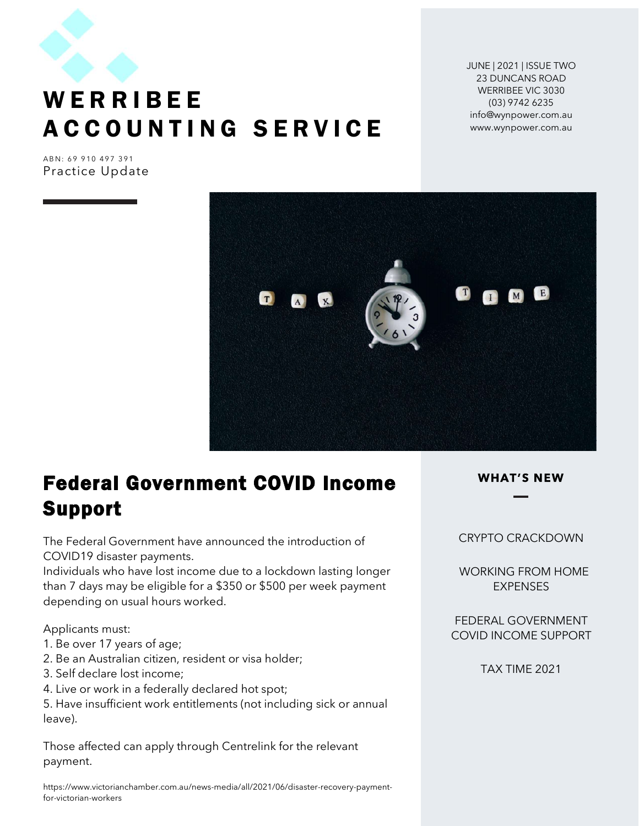

# $W \in \mathbb{R}$  R I B E E<br>
A C C O U N T I N G S E R V I C E<br>
Practice Undate UNE | 2021 | ISSUE TWO<br>
WERRIBEE<br>
A C C O UNTING SERVICE<br>
Practice Update WERRIBEE<br>ACCOUNTING SERVICE<br>Practice Update

JUNE | 2021 | ISSUE TWO 23 DUNCANS ROAD WERRIBEE VIC 3030 (03) 9742 6235 info@wynpower.com.au www.wynpower.com.au

Practice Update



# Federal Government COVID Income Support

The Federal Government have announced the introduction of COVID19 disaster payments.

Individuals who have lost income due to a lockdown lasting longer than 7 days may be eligible for a \$350 or \$500 per week payment depending on usual hours worked.

Applicants must:

- 1. Be over 17 years of age;
- 2. Be an Australian citizen, resident or visa holder;
- 3. Self declare lost income;
- 4. Live or work in a federally declared hot spot;

5. Have insufficient work entitlements (not including sick or annual leave).

Those affected can apply through Centrelink for the relevant payment.

https://www.victorianchamber.com.au/news-media/all/2021/06/disaster-recovery-paymentfor-victorian-workers

### CRYPTO CRACKDOWN

 WORKING FROM HOME **EXPENSES** 

FEDERAL GOVERNMENT COVID INCOME SUPPORT

TAX TIME 2021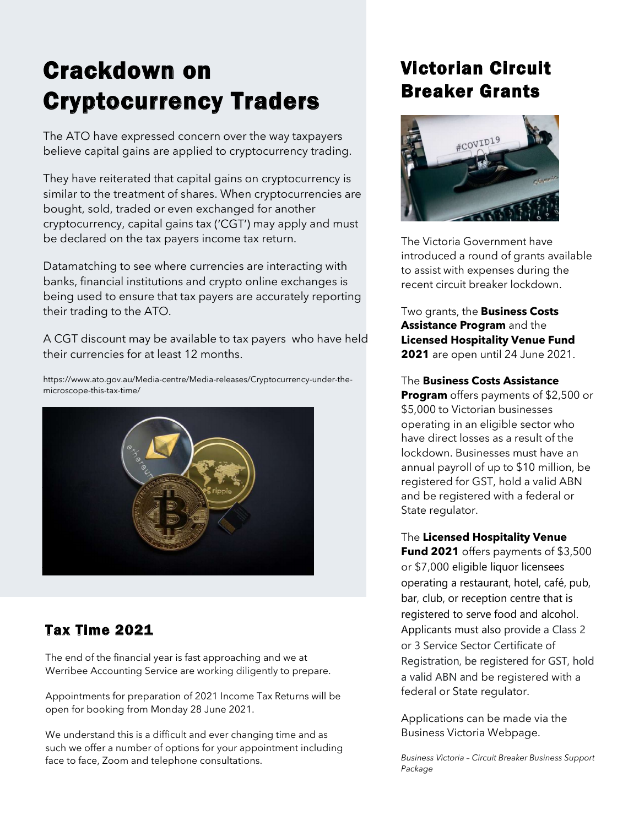# Crackdown on Cryptocurrency Traders

The ATO have expressed concern over the way taxpayers believe capital gains are applied to cryptocurrency trading.

They have reiterated that capital gains on cryptocurrency is similar to the treatment of shares. When cryptocurrencies are bought, sold, traded or even exchanged for another cryptocurrency, capital gains tax ('CGT') may apply and must be declared on the tax payers income tax return.

Datamatching to see where currencies are interacting with banks, financial institutions and crypto online exchanges is being used to ensure that tax payers are accurately reporting their trading to the ATO.

A CGT discount may be available to tax payers who have held their currencies for at least 12 months.

https://www.ato.gov.au/Media-centre/Media-releases/Cryptocurrency-under-themicroscope-this-tax-time/



### Tax Time 2021

The end of the financial year is fast approaching and we at Werribee Accounting Service are working diligently to prepare.

Appointments for preparation of 2021 Income Tax Returns will be open for booking from Monday 28 June 2021.

We understand this is a difficult and ever changing time and as such we offer a number of options for your appointment including face to face, Zoom and telephone consultations.

### Victorian Circuit Breaker Grants



The Victoria Government have introduced a round of grants available to assist with expenses during the recent circuit breaker lockdown.

Two grants, the **Business Costs** Assistance Program and the Licensed Hospitality Venue Fund 2021 are open until 24 June 2021.

The Business Costs Assistance

**Program** offers payments of \$2,500 or \$5,000 to Victorian businesses operating in an eligible sector who have direct losses as a result of the lockdown. Businesses must have an annual payroll of up to \$10 million, be registered for GST, hold a valid ABN and be registered with a federal or State regulator.

The Licensed Hospitality Venue

Fund 2021 offers payments of \$3,500 or \$7,000 eligible liquor licensees operating a restaurant, hotel, café, pub, bar, club, or reception centre that is registered to serve food and alcohol. Applicants must also provide a Class 2 or 3 Service Sector Certificate of Registration, be registered for GST, hold a valid ABN and be registered with a federal or State regulator.

Applications can be made via the Business Victoria Webpage.

Business Victoria - Circuit Breaker Business Support Package